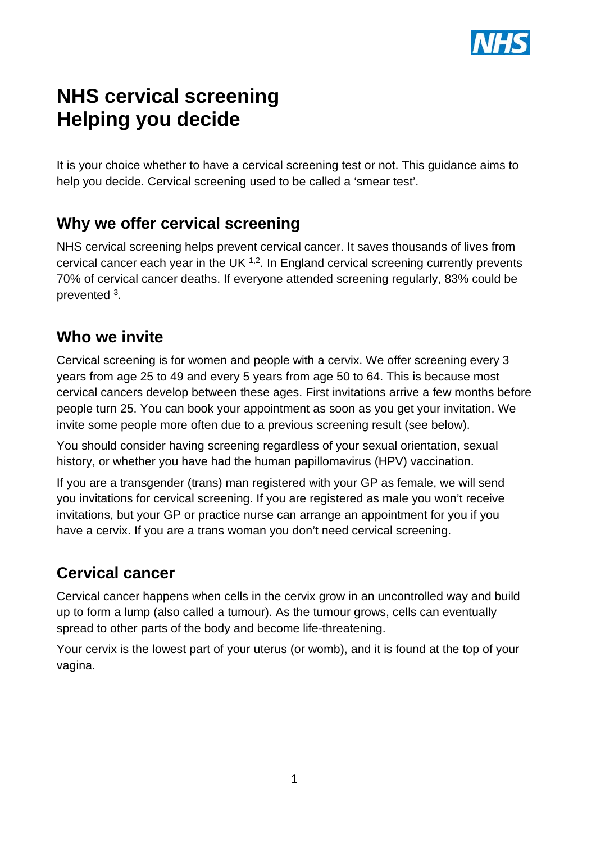

# **NHS cervical screening Helping you decide**

It is your choice whether to have a cervical screening test or not. This guidance aims to help you decide. Cervical screening used to be called a 'smear test'.

## **Why we offer cervical screening**

NHS cervical screening helps prevent cervical cancer. It saves thousands of lives from cervical cancer each year in the UK  $1.2$ . In England cervical screening currently prevents 70% of cervical cancer deaths. If everyone attended screening regularly, 83% could be prevented 3.

### **Who we invite**

Cervical screening is for women and people with a cervix. We offer screening every 3 years from age 25 to 49 and every 5 years from age 50 to 64. This is because most cervical cancers develop between these ages. First invitations arrive a few months before people turn 25. You can book your appointment as soon as you get your invitation. We invite some people more often due to a previous screening result (see below).

You should consider having screening regardless of your sexual orientation, sexual history, or whether you have had the human papillomavirus (HPV) vaccination.

If you are a transgender (trans) man registered with your GP as female, we will send you invitations for cervical screening. If you are registered as male you won't receive invitations, but your GP or practice nurse can arrange an appointment for you if you have a cervix. If you are a trans woman you don't need cervical screening.

### **Cervical cancer**

Cervical cancer happens when cells in the cervix grow in an uncontrolled way and build up to form a lump (also called a tumour). As the tumour grows, cells can eventually spread to other parts of the body and become life-threatening.

Your cervix is the lowest part of your uterus (or womb), and it is found at the top of your vagina.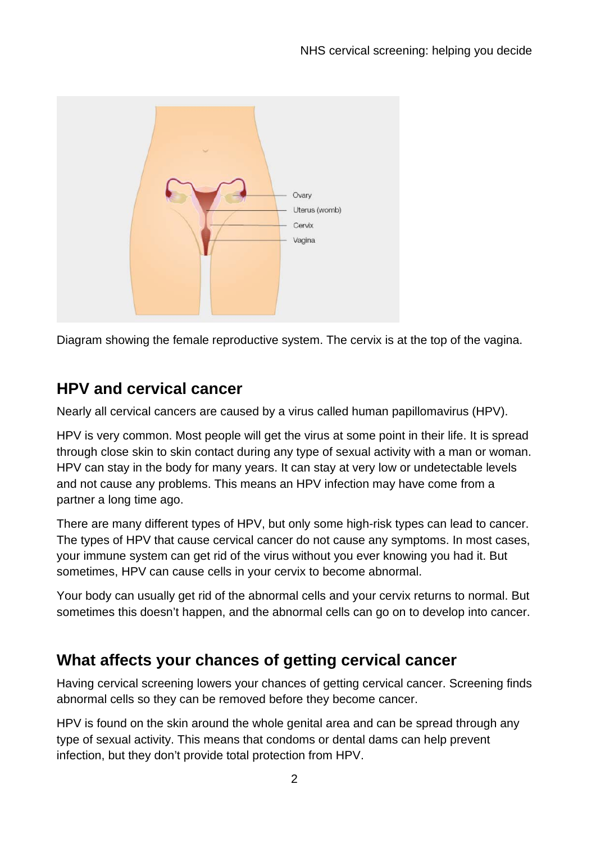

Diagram showing the female reproductive system. The cervix is at the top of the vagina.

# **HPV and cervical cancer**

Nearly all cervical cancers are caused by a virus called human papillomavirus (HPV).

HPV is very common. Most people will get the virus at some point in their life. It is spread through close skin to skin contact during any type of sexual activity with a man or woman. HPV can stay in the body for many years. It can stay at very low or undetectable levels and not cause any problems. This means an HPV infection may have come from a partner a long time ago.

There are many different types of HPV, but only some high-risk types can lead to cancer. The types of HPV that cause cervical cancer do not cause any symptoms. In most cases, your immune system can get rid of the virus without you ever knowing you had it. But sometimes, HPV can cause cells in your cervix to become abnormal.

Your body can usually get rid of the abnormal cells and your cervix returns to normal. But sometimes this doesn't happen, and the abnormal cells can go on to develop into cancer.

# **What affects your chances of getting cervical cancer**

Having cervical screening lowers your chances of getting cervical cancer. Screening finds abnormal cells so they can be removed before they become cancer.

HPV is found on the skin around the whole genital area and can be spread through any type of sexual activity. This means that condoms or dental dams can help prevent infection, but they don't provide total protection from HPV.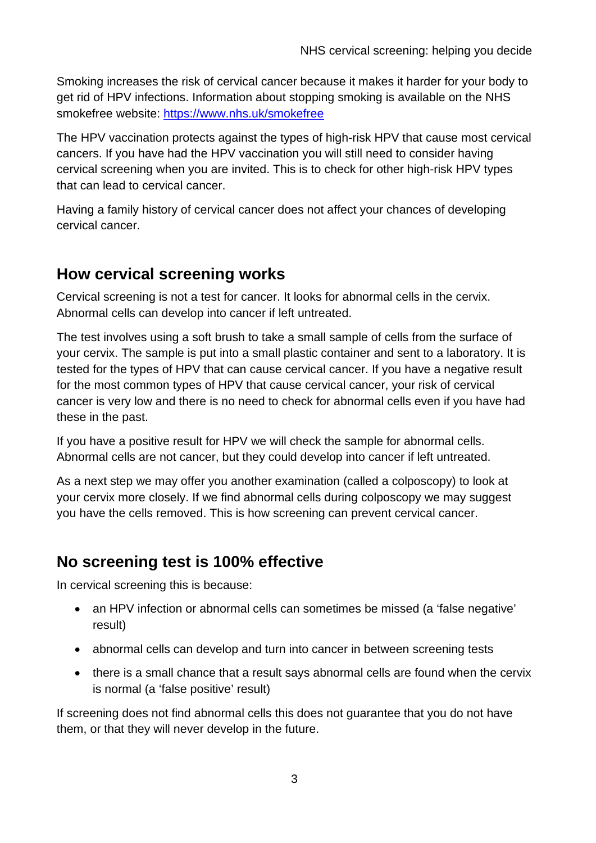Smoking increases the risk of cervical cancer because it makes it harder for your body to get rid of HPV infections. Information about stopping smoking is available on the NHS smokefree website:<https://www.nhs.uk/smokefree>

The HPV vaccination protects against the types of high-risk HPV that cause most cervical cancers. If you have had the HPV vaccination you will still need to consider having cervical screening when you are invited. This is to check for other high-risk HPV types that can lead to cervical cancer.

Having a family history of cervical cancer does not affect your chances of developing cervical cancer.

## **How cervical screening works**

Cervical screening is not a test for cancer. It looks for abnormal cells in the cervix. Abnormal cells can develop into cancer if left untreated.

The test involves using a soft brush to take a small sample of cells from the surface of your cervix. The sample is put into a small plastic container and sent to a laboratory. It is tested for the types of HPV that can cause cervical cancer. If you have a negative result for the most common types of HPV that cause cervical cancer, your risk of cervical cancer is very low and there is no need to check for abnormal cells even if you have had these in the past.

If you have a positive result for HPV we will check the sample for abnormal cells. Abnormal cells are not cancer, but they could develop into cancer if left untreated.

As a next step we may offer you another examination (called a colposcopy) to look at your cervix more closely. If we find abnormal cells during colposcopy we may suggest you have the cells removed. This is how screening can prevent cervical cancer.

## **No screening test is 100% effective**

In cervical screening this is because:

- an HPV infection or abnormal cells can sometimes be missed (a 'false negative' result)
- abnormal cells can develop and turn into cancer in between screening tests
- there is a small chance that a result says abnormal cells are found when the cervix is normal (a 'false positive' result)

If screening does not find abnormal cells this does not guarantee that you do not have them, or that they will never develop in the future.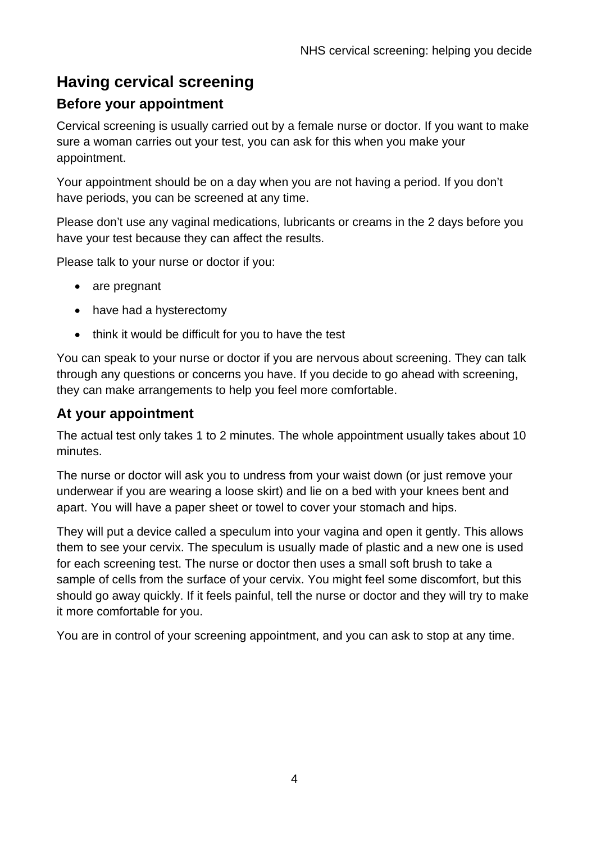# **Having cervical screening**

### **Before your appointment**

Cervical screening is usually carried out by a female nurse or doctor. If you want to make sure a woman carries out your test, you can ask for this when you make your appointment.

Your appointment should be on a day when you are not having a period. If you don't have periods, you can be screened at any time.

Please don't use any vaginal medications, lubricants or creams in the 2 days before you have your test because they can affect the results.

Please talk to your nurse or doctor if you:

- are pregnant
- have had a hysterectomy
- think it would be difficult for you to have the test

You can speak to your nurse or doctor if you are nervous about screening. They can talk through any questions or concerns you have. If you decide to go ahead with screening, they can make arrangements to help you feel more comfortable.

### **At your appointment**

The actual test only takes 1 to 2 minutes. The whole appointment usually takes about 10 minutes.

The nurse or doctor will ask you to undress from your waist down (or just remove your underwear if you are wearing a loose skirt) and lie on a bed with your knees bent and apart. You will have a paper sheet or towel to cover your stomach and hips.

They will put a device called a speculum into your vagina and open it gently. This allows them to see your cervix. The speculum is usually made of plastic and a new one is used for each screening test. The nurse or doctor then uses a small soft brush to take a sample of cells from the surface of your cervix. You might feel some discomfort, but this should go away quickly. If it feels painful, tell the nurse or doctor and they will try to make it more comfortable for you.

You are in control of your screening appointment, and you can ask to stop at any time.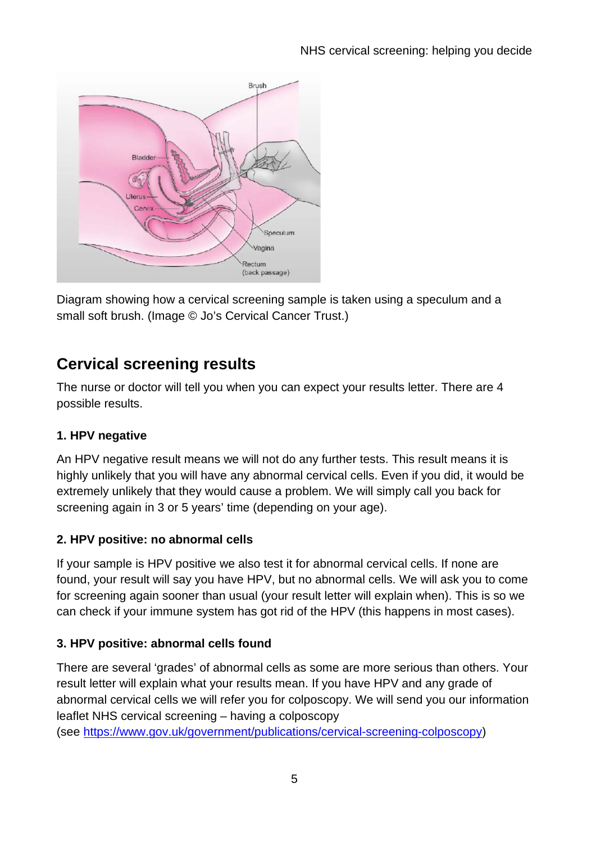

Diagram showing how a cervical screening sample is taken using a speculum and a small soft brush. (Image © Jo's Cervical Cancer Trust.)

# **Cervical screening results**

The nurse or doctor will tell you when you can expect your results letter. There are 4 possible results.

### **1. HPV negative**

An HPV negative result means we will not do any further tests. This result means it is highly unlikely that you will have any abnormal cervical cells. Even if you did, it would be extremely unlikely that they would cause a problem. We will simply call you back for screening again in 3 or 5 years' time (depending on your age).

### **2. HPV positive: no abnormal cells**

If your sample is HPV positive we also test it for abnormal cervical cells. If none are found, your result will say you have HPV, but no abnormal cells. We will ask you to come for screening again sooner than usual (your result letter will explain when). This is so we can check if your immune system has got rid of the HPV (this happens in most cases).

### **3. HPV positive: abnormal cells found**

There are several 'grades' of abnormal cells as some are more serious than others. Your result letter will explain what your results mean. If you have HPV and any grade of abnormal cervical cells we will refer you for colposcopy. We will send you our information leaflet NHS cervical screening – having a colposcopy

(see [https://www.gov.uk/government/publications/cervical-screening-colposcopy\)](https://www.gov.uk/government/publications/cervical-screening-colposcopy)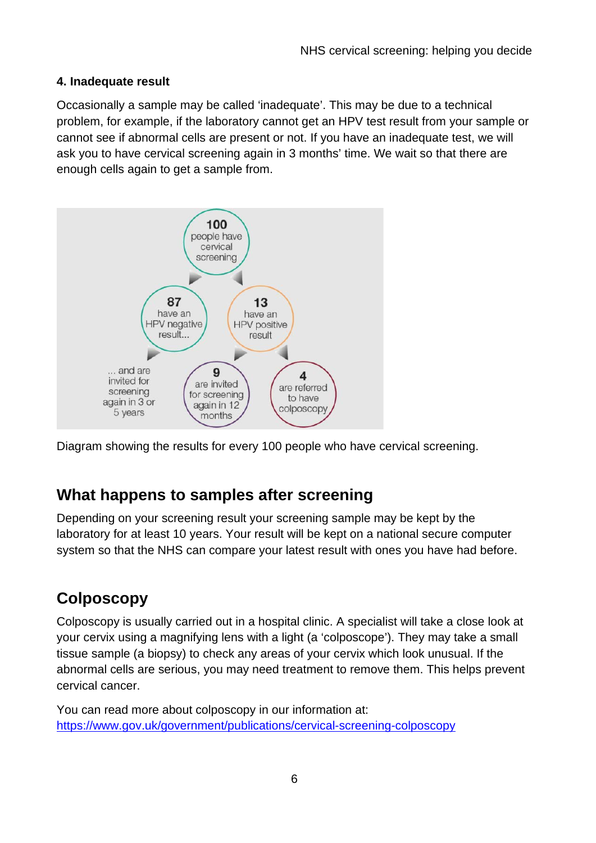#### **4. Inadequate result**

Occasionally a sample may be called 'inadequate'. This may be due to a technical problem, for example, if the laboratory cannot get an HPV test result from your sample or cannot see if abnormal cells are present or not. If you have an inadequate test, we will ask you to have cervical screening again in 3 months' time. We wait so that there are enough cells again to get a sample from.



Diagram showing the results for every 100 people who have cervical screening.

### **What happens to samples after screening**

Depending on your screening result your screening sample may be kept by the laboratory for at least 10 years. Your result will be kept on a national secure computer system so that the NHS can compare your latest result with ones you have had before.

## **Colposcopy**

Colposcopy is usually carried out in a hospital clinic. A specialist will take a close look at your cervix using a magnifying lens with a light (a 'colposcope'). They may take a small tissue sample (a biopsy) to check any areas of your cervix which look unusual. If the abnormal cells are serious, you may need treatment to remove them. This helps prevent cervical cancer.

You can read more about colposcopy in our information at: <https://www.gov.uk/government/publications/cervical-screening-colposcopy>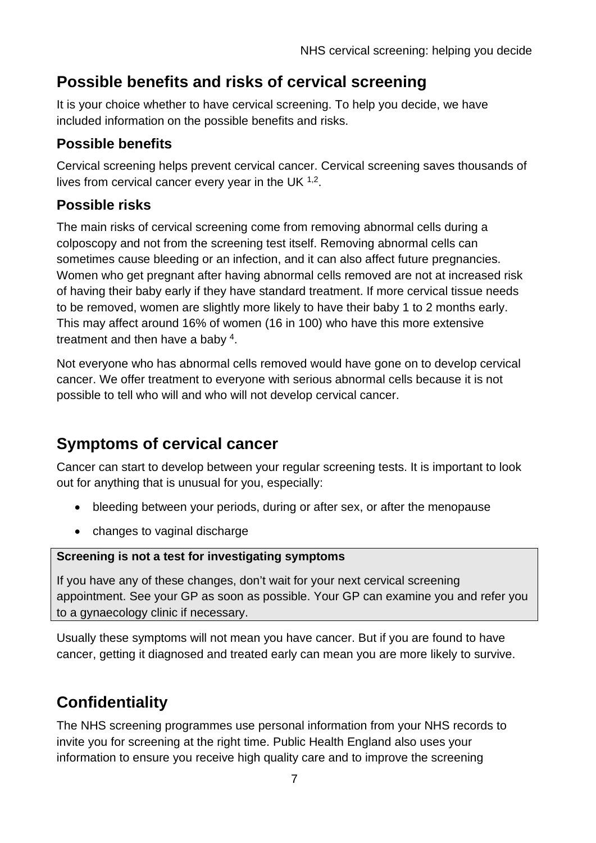# **Possible benefits and risks of cervical screening**

It is your choice whether to have cervical screening. To help you decide, we have included information on the possible benefits and risks.

### **Possible benefits**

Cervical screening helps prevent cervical cancer. Cervical screening saves thousands of lives from cervical cancer every year in the UK  $1,2$ .

### **Possible risks**

The main risks of cervical screening come from removing abnormal cells during a colposcopy and not from the screening test itself. Removing abnormal cells can sometimes cause bleeding or an infection, and it can also affect future pregnancies. Women who get pregnant after having abnormal cells removed are not at increased risk of having their baby early if they have standard treatment. If more cervical tissue needs to be removed, women are slightly more likely to have their baby 1 to 2 months early. This may affect around 16% of women (16 in 100) who have this more extensive treatment and then have a baby 4.

Not everyone who has abnormal cells removed would have gone on to develop cervical cancer. We offer treatment to everyone with serious abnormal cells because it is not possible to tell who will and who will not develop cervical cancer.

# **Symptoms of cervical cancer**

Cancer can start to develop between your regular screening tests. It is important to look out for anything that is unusual for you, especially:

- bleeding between your periods, during or after sex, or after the menopause
- changes to vaginal discharge

#### **Screening is not a test for investigating symptoms**

If you have any of these changes, don't wait for your next cervical screening appointment. See your GP as soon as possible. Your GP can examine you and refer you to a gynaecology clinic if necessary.

Usually these symptoms will not mean you have cancer. But if you are found to have cancer, getting it diagnosed and treated early can mean you are more likely to survive.

# **Confidentiality**

The NHS screening programmes use personal information from your NHS records to invite you for screening at the right time. Public Health England also uses your information to ensure you receive high quality care and to improve the screening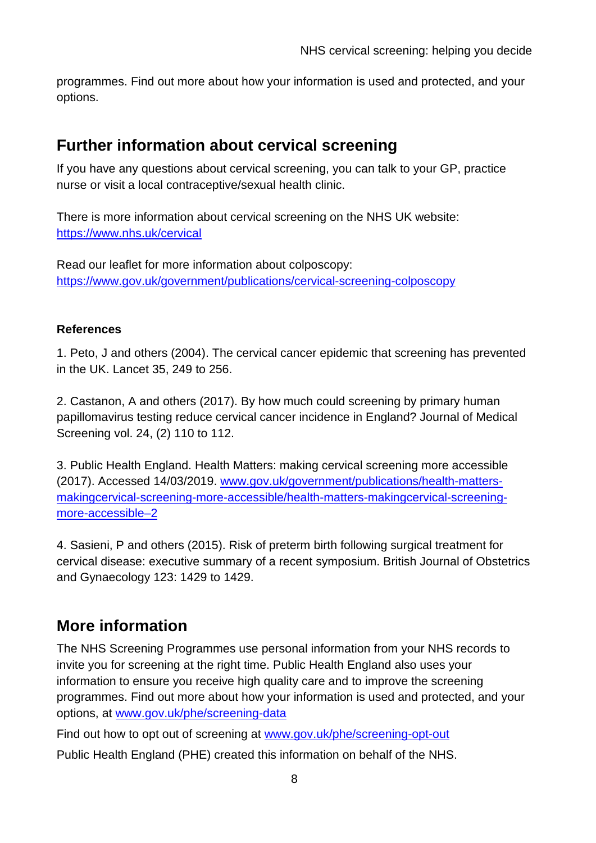programmes. Find out more about how your information is used and protected, and your options.

### **Further information about cervical screening**

If you have any questions about cervical screening, you can talk to your GP, practice nurse or visit a local contraceptive/sexual health clinic.

There is more information about cervical screening on the NHS UK website: <https://www.nhs.uk/cervical>

Read our leaflet for more information about colposcopy: <https://www.gov.uk/government/publications/cervical-screening-colposcopy>

#### **References**

1. Peto, J and others (2004). The cervical cancer epidemic that screening has prevented in the UK. Lancet 35, 249 to 256.

2. Castanon, A and others (2017). By how much could screening by primary human papillomavirus testing reduce cervical cancer incidence in England? Journal of Medical Screening vol. 24, (2) 110 to 112.

3. Public Health England. Health Matters: making cervical screening more accessible (2017). Accessed 14/03/2019. [www.gov.uk/government/publications/health-matters](http://www.gov.uk/government/publications/health-matters-makingcervical-screening-more-accessible/health-matters-makingcervical-screening-more-accessible%E2%80%932)[makingcervical-screening-more-accessible/health-matters-makingcervical-screening](http://www.gov.uk/government/publications/health-matters-makingcervical-screening-more-accessible/health-matters-makingcervical-screening-more-accessible%E2%80%932)[more-accessible–2](http://www.gov.uk/government/publications/health-matters-makingcervical-screening-more-accessible/health-matters-makingcervical-screening-more-accessible%E2%80%932)

4. Sasieni, P and others (2015). Risk of preterm birth following surgical treatment for cervical disease: executive summary of a recent symposium. British Journal of Obstetrics and Gynaecology 123: 1429 to 1429.

### **More information**

The NHS Screening Programmes use personal information from your NHS records to invite you for screening at the right time. Public Health England also uses your information to ensure you receive high quality care and to improve the screening programmes. Find out more about how your information is used and protected, and your options, at [www.gov.uk/phe/screening-data](http://www.gov.uk/phe/screening-data)

Find out how to opt out of screening at [www.gov.uk/phe/screening-opt-out](http://www.gov.uk/phe/screening-opt-out)

Public Health England (PHE) created this information on behalf of the NHS.